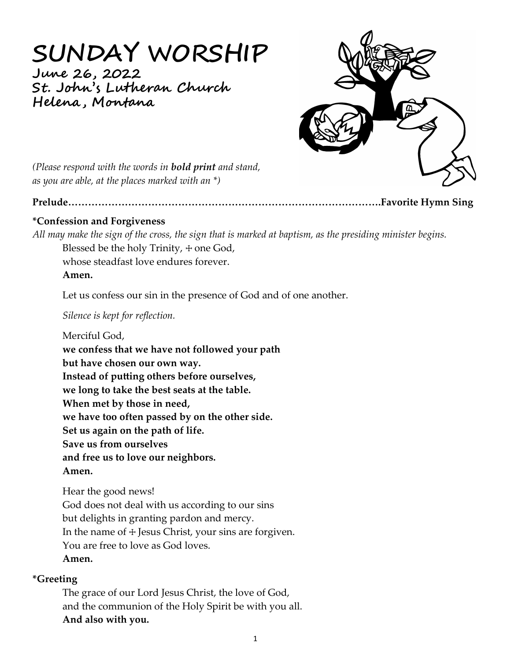# **SUNDAY WORSHIP**

**June 26, 2022 St. John's Lutheran Church Helena , Montana**



*(Please respond with the words in bold print and stand, as you are able, at the places marked with an \*)*

**Prelude………………………………………………………………………………….Favorite Hymn Sing** 

## **\*Confession and Forgiveness**

*All may make the sign of the cross, the sign that is marked at baptism, as the presiding minister begins.*

Blessed be the holy Trinity, + one God, whose steadfast love endures forever. **Amen.**

Let us confess our sin in the presence of God and of one another.

*Silence is kept for reflection.*

Merciful God, **we confess that we have not followed your path but have chosen our own way. Instead of putting others before ourselves, we long to take the best seats at the table. When met by those in need, we have too often passed by on the other side. Set us again on the path of life. Save us from ourselves and free us to love our neighbors. Amen.**

Hear the good news! God does not deal with us according to our sins but delights in granting pardon and mercy. In the name of  $+$  Jesus Christ, your sins are forgiven. You are free to love as God loves. **Amen.**

# **\*Greeting**

The grace of our Lord Jesus Christ, the love of God, and the communion of the Holy Spirit be with you all.  **And also with you.**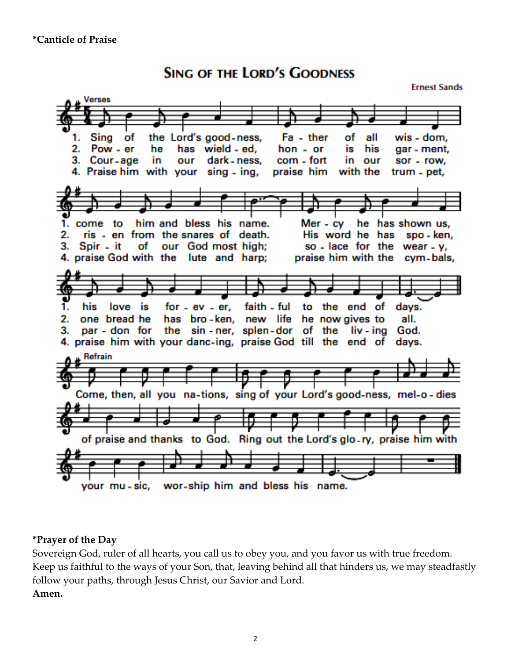**\*Canticle of Praise** 

# **SING OF THE LORD'S GOODNESS**

**Ernest Sands** 



#### **\*Prayer of the Day**

Sovereign God, ruler of all hearts, you call us to obey you, and you favor us with true freedom. Keep us faithful to the ways of your Son, that, leaving behind all that hinders us, we may steadfastly follow your paths, through Jesus Christ, our Savior and Lord. **Amen.**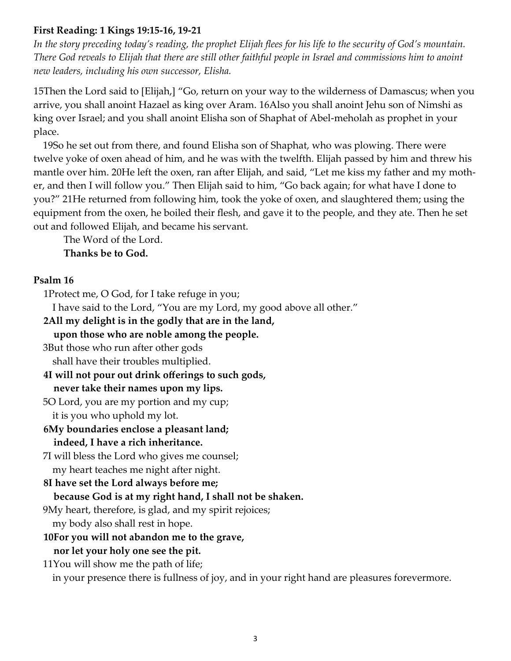## **First Reading: 1 Kings 19:15-16, 19-21**

*In the story preceding today's reading, the prophet Elijah flees for his life to the security of God's mountain. There God reveals to Elijah that there are still other faithful people in Israel and commissions him to anoint new leaders, including his own successor, Elisha.* 

15Then the Lord said to [Elijah,] "Go, return on your way to the wilderness of Damascus; when you arrive, you shall anoint Hazael as king over Aram. 16Also you shall anoint Jehu son of Nimshi as king over Israel; and you shall anoint Elisha son of Shaphat of Abel-meholah as prophet in your place.

19So he set out from there, and found Elisha son of Shaphat, who was plowing. There were twelve yoke of oxen ahead of him, and he was with the twelfth. Elijah passed by him and threw his mantle over him. 20He left the oxen, ran after Elijah, and said, "Let me kiss my father and my mother, and then I will follow you." Then Elijah said to him, "Go back again; for what have I done to you?" 21He returned from following him, took the yoke of oxen, and slaughtered them; using the equipment from the oxen, he boiled their flesh, and gave it to the people, and they ate. Then he set out and followed Elijah, and became his servant.

The Word of the Lord.

**Thanks be to God.** 

## **Psalm 16**

1Protect me, O God, for I take refuge in you;

I have said to the Lord, "You are my Lord, my good above all other."

# **2All my delight is in the godly that are in the land,**

 **upon those who are noble among the people.**

3But those who run after other gods shall have their troubles multiplied.

**4I will not pour out drink offerings to such gods, never take their names upon my lips.**

5O Lord, you are my portion and my cup; it is you who uphold my lot.

- **6My boundaries enclose a pleasant land; indeed, I have a rich inheritance.**
- 7I will bless the Lord who gives me counsel; my heart teaches me night after night.

# **8I have set the Lord always before me; because God is at my right hand, I shall not be shaken.**

9My heart, therefore, is glad, and my spirit rejoices;

my body also shall rest in hope.

**10For you will not abandon me to the grave, nor let your holy one see the pit.**

11You will show me the path of life;

in your presence there is fullness of joy, and in your right hand are pleasures forevermore.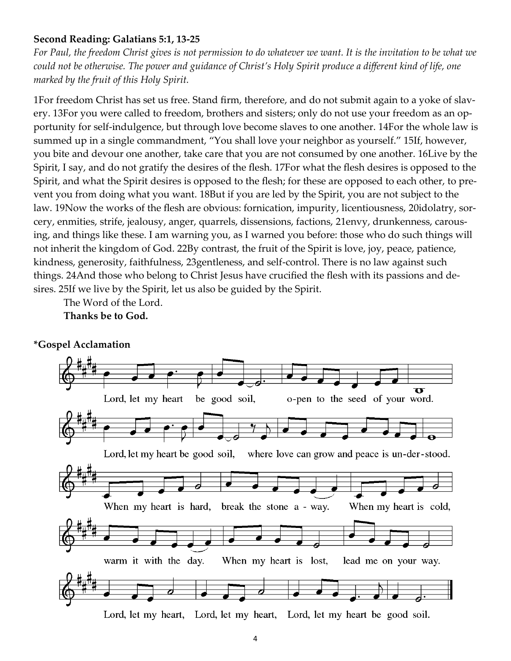#### **Second Reading: Galatians 5:1, 13-25**

*For Paul, the freedom Christ gives is not permission to do whatever we want. It is the invitation to be what we could not be otherwise. The power and guidance of Christ's Holy Spirit produce a different kind of life, one marked by the fruit of this Holy Spirit.* 

1For freedom Christ has set us free. Stand firm, therefore, and do not submit again to a yoke of slavery. 13For you were called to freedom, brothers and sisters; only do not use your freedom as an opportunity for self-indulgence, but through love become slaves to one another. 14For the whole law is summed up in a single commandment, "You shall love your neighbor as yourself." 15If, however, you bite and devour one another, take care that you are not consumed by one another. 16Live by the Spirit, I say, and do not gratify the desires of the flesh. 17For what the flesh desires is opposed to the Spirit, and what the Spirit desires is opposed to the flesh; for these are opposed to each other, to prevent you from doing what you want. 18But if you are led by the Spirit, you are not subject to the law. 19Now the works of the flesh are obvious: fornication, impurity, licentiousness, 20idolatry, sorcery, enmities, strife, jealousy, anger, quarrels, dissensions, factions, 21envy, drunkenness, carousing, and things like these. I am warning you, as I warned you before: those who do such things will not inherit the kingdom of God. 22By contrast, the fruit of the Spirit is love, joy, peace, patience, kindness, generosity, faithfulness, 23gentleness, and self-control. There is no law against such things. 24And those who belong to Christ Jesus have crucified the flesh with its passions and desires. 25If we live by the Spirit, let us also be guided by the Spirit.

The Word of the Lord. **Thanks be to God.** 



**\*Gospel Acclamation**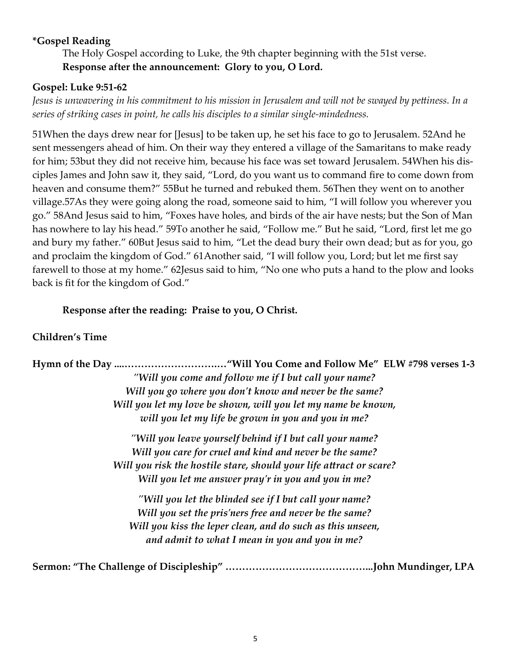## **\*Gospel Reading**

The Holy Gospel according to Luke, the 9th chapter beginning with the 51st verse. **Response after the announcement: Glory to you, O Lord.** 

## **Gospel: Luke 9:51-62**

*Jesus is unwavering in his commitment to his mission in Jerusalem and will not be swayed by pettiness. In a series of striking cases in point, he calls his disciples to a similar single-mindedness.* 

51When the days drew near for [Jesus] to be taken up, he set his face to go to Jerusalem. 52And he sent messengers ahead of him. On their way they entered a village of the Samaritans to make ready for him; 53but they did not receive him, because his face was set toward Jerusalem. 54When his disciples James and John saw it, they said, "Lord, do you want us to command fire to come down from heaven and consume them?" 55But he turned and rebuked them. 56Then they went on to another village.57As they were going along the road, someone said to him, "I will follow you wherever you go." 58And Jesus said to him, "Foxes have holes, and birds of the air have nests; but the Son of Man has nowhere to lay his head." 59To another he said, "Follow me." But he said, "Lord, first let me go and bury my father." 60But Jesus said to him, "Let the dead bury their own dead; but as for you, go and proclaim the kingdom of God." 61Another said, "I will follow you, Lord; but let me first say farewell to those at my home." 62Jesus said to him, "No one who puts a hand to the plow and looks back is fit for the kingdom of God."

## **Response after the reading: Praise to you, O Christ.**

## **Children's Time**

| "Will you come and follow me if I but call your name?               |
|---------------------------------------------------------------------|
| Will you go where you don't know and never be the same?             |
| Will you let my love be shown, will you let my name be known,       |
| will you let my life be grown in you and you in me?                 |
| "Will you leave yourself behind if I but call your name?            |
| Will you care for cruel and kind and never be the same?             |
| Will you risk the hostile stare, should your life attract or scare? |
| Will you let me answer pray'r in you and you in me?                 |
| "Will you let the blinded see if I but call your name?              |
| Will you set the pris'ners free and never be the same?              |
| Will you kiss the leper clean, and do such as this unseen,          |
| and admit to what I mean in you and you in me?                      |

**Sermon: "The Challenge of Discipleship" ……………………………………...John Mundinger, LPA**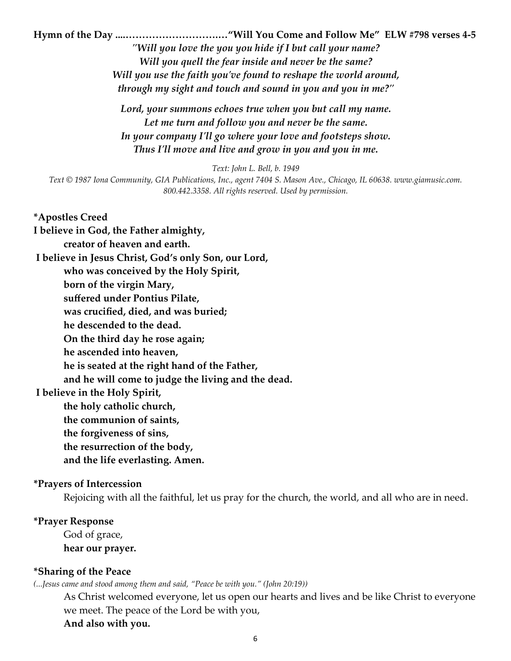**Hymn of the Day ....……………………….…"Will You Come and Follow Me" ELW #798 verses 4-5**

*"Will you love the you you hide if I but call your name? Will you quell the fear inside and never be the same? Will you use the faith you've found to reshape the world around, through my sight and touch and sound in you and you in me?"*

*Lord, your summons echoes true when you but call my name. Let me turn and follow you and never be the same. In your company I'll go where your love and footsteps show. Thus I'll move and live and grow in you and you in me.*

*Text: John L. Bell, b. 1949*

*Text © 1987 Iona Community, GIA Publications, Inc., agent 7404 S. Mason Ave., Chicago, IL 60638. www.giamusic.com. 800.442.3358. All rights reserved. Used by permission.*

**\*Apostles Creed I believe in God, the Father almighty, creator of heaven and earth. I believe in Jesus Christ, God's only Son, our Lord, who was conceived by the Holy Spirit, born of the virgin Mary, suffered under Pontius Pilate, was crucified, died, and was buried; he descended to the dead. On the third day he rose again; he ascended into heaven, he is seated at the right hand of the Father, and he will come to judge the living and the dead. I believe in the Holy Spirit, the holy catholic church, the communion of saints, the forgiveness of sins, the resurrection of the body,**

**and the life everlasting. Amen.** 

#### **\*Prayers of Intercession**

Rejoicing with all the faithful, let us pray for the church, the world, and all who are in need.

#### **\*Prayer Response**

God of grace, **hear our prayer.**

#### **\*Sharing of the Peace**

*(...Jesus came and stood among them and said, "Peace be with you." (John 20:19))*

As Christ welcomed everyone, let us open our hearts and lives and be like Christ to everyone we meet. The peace of the Lord be with you,

**And also with you.**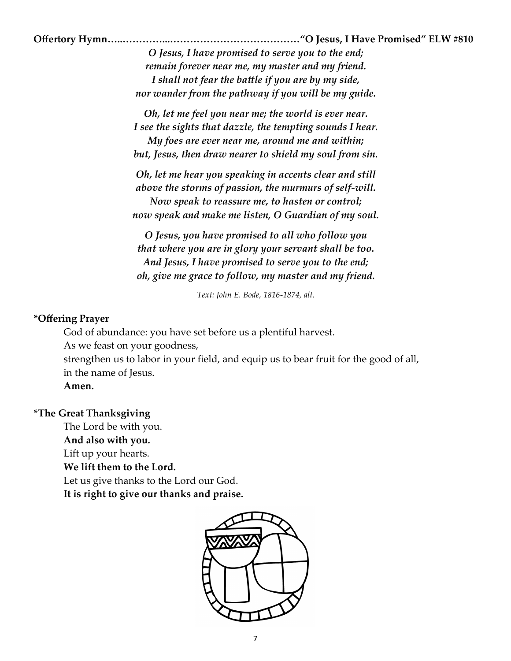# **Offertory Hymn…..…………...…………………………………"O Jesus, I Have Promised" ELW #810** *O Jesus, I have promised to serve you to the end;*

*remain forever near me, my master and my friend. I shall not fear the battle if you are by my side, nor wander from the pathway if you will be my guide.*

*Oh, let me feel you near me; the world is ever near. I see the sights that dazzle, the tempting sounds I hear. My foes are ever near me, around me and within; but, Jesus, then draw nearer to shield my soul from sin.*

*Oh, let me hear you speaking in accents clear and still above the storms of passion, the murmurs of self-will. Now speak to reassure me, to hasten or control; now speak and make me listen, O Guardian of my soul.*

*O Jesus, you have promised to all who follow you that where you are in glory your servant shall be too. And Jesus, I have promised to serve you to the end; oh, give me grace to follow, my master and my friend.*

*Text: John E. Bode, 1816-1874, alt.*

## **\*Offering Prayer**

God of abundance: you have set before us a plentiful harvest. As we feast on your goodness, strengthen us to labor in your field, and equip us to bear fruit for the good of all, in the name of Jesus. **Amen.**

**\*The Great Thanksgiving**

The Lord be with you.

**And also with you.**

Lift up your hearts.

**We lift them to the Lord.**

Let us give thanks to the Lord our God.

**It is right to give our thanks and praise.** 

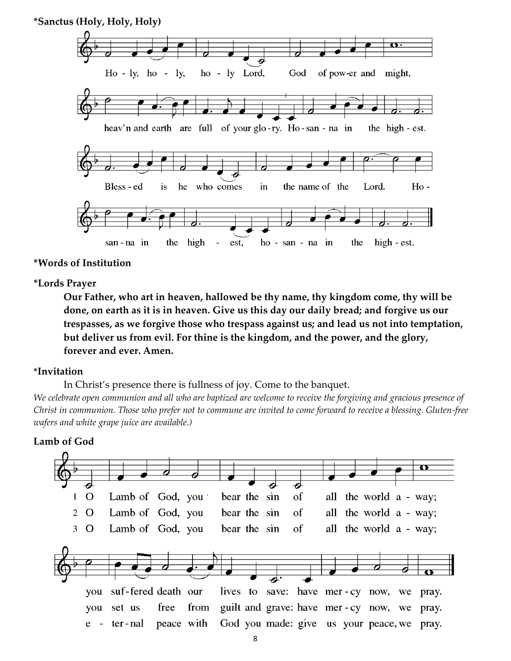

**\*Words of Institution**

#### **\*Lords Prayer**

**Our Father, who art in heaven, hallowed be thy name, thy kingdom come, thy will be done, on earth as it is in heaven. Give us this day our daily bread; and forgive us our trespasses, as we forgive those who trespass against us; and lead us not into temptation, but deliver us from evil. For thine is the kingdom, and the power, and the glory, forever and ever. Amen.** 

#### **\*Invitation**

In Christ's presence there is fullness of joy. Come to the banquet.

*We celebrate open communion and all who are baptized are welcome to receive the forgiving and gracious presence of Christ in communion. Those who prefer not to commune are invited to come forward to receive a blessing. Gluten-free wafers and white grape juice are available.)* 

#### **Lamb of God**

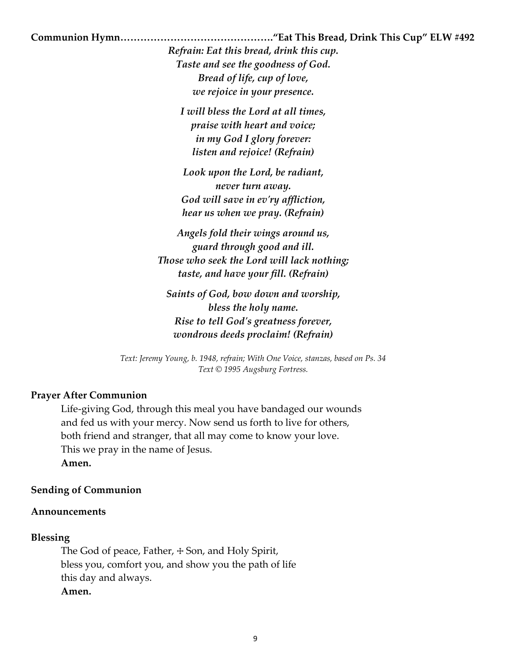**Communion Hymn………………………………………."Eat This Bread, Drink This Cup" ELW #492**

*Refrain: Eat this bread, drink this cup. Taste and see the goodness of God. Bread of life, cup of love, we rejoice in your presence.*

*I will bless the Lord at all times, praise with heart and voice; in my God I glory forever: listen and rejoice! (Refrain)*

*Look upon the Lord, be radiant, never turn away. God will save in ev'ry affliction, hear us when we pray. (Refrain)*

*Angels fold their wings around us, guard through good and ill. Those who seek the Lord will lack nothing; taste, and have your fill. (Refrain)*

*Saints of God, bow down and worship, bless the holy name. Rise to tell God's greatness forever, wondrous deeds proclaim! (Refrain)*

*Text: Jeremy Young, b. 1948, refrain; With One Voice, stanzas, based on Ps. 34 Text © 1995 Augsburg Fortress.*

#### **Prayer After Communion**

Life-giving God, through this meal you have bandaged our wounds and fed us with your mercy. Now send us forth to live for others, both friend and stranger, that all may come to know your love. This we pray in the name of Jesus. **Amen.** 

#### **Sending of Communion**

#### **Announcements**

#### **Blessing**

The God of peace, Father,  $\pm$  Son, and Holy Spirit, bless you, comfort you, and show you the path of life this day and always.

#### **Amen.**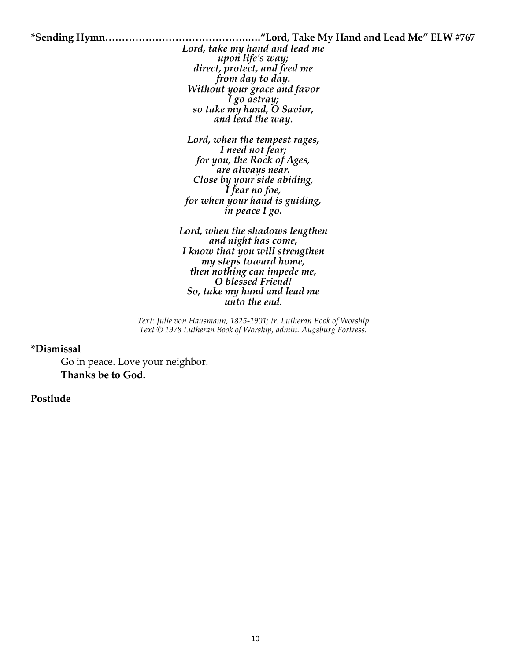#### **\*Sending Hymn…………………………………….…."Lord, Take My Hand and Lead Me" ELW #767**

*Lord, take my hand and lead me upon life's way; direct, protect, and feed me from day to day. Without your grace and favor I go astray; so take my hand, O Savior, and lead the way.*

*Lord, when the tempest rages, I need not fear; for you, the Rock of Ages, are always near. Close by your side abiding, I fear no foe, for when your hand is guiding, in peace I go.*

*Lord, when the shadows lengthen and night has come, I know that you will strengthen my steps toward home, then nothing can impede me, O blessed Friend! So, take my hand and lead me unto the end.*

*Text: Julie von Hausmann, 1825-1901; tr. Lutheran Book of Worship Text © 1978 Lutheran Book of Worship, admin. Augsburg Fortress.*

**\*Dismissal**

Go in peace. Love your neighbor. **Thanks be to God.** 

**Postlude**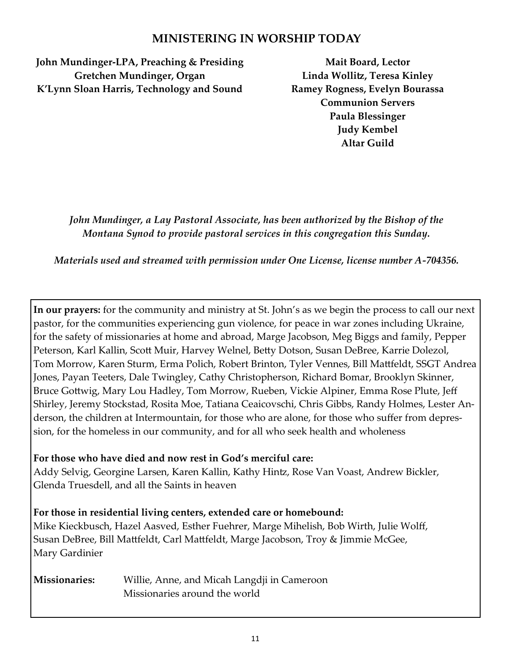# **MINISTERING IN WORSHIP TODAY**

**John Mundinger-LPA, Preaching & Presiding Gretchen Mundinger, Organ K'Lynn Sloan Harris, Technology and Sound**

**Mait Board, Lector Linda Wollitz, Teresa Kinley Ramey Rogness, Evelyn Bourassa Communion Servers Paula Blessinger Judy Kembel Altar Guild**

*John Mundinger, a Lay Pastoral Associate, has been authorized by the Bishop of the Montana Synod to provide pastoral services in this congregation this Sunday.* 

*Materials used and streamed with permission under One License, license number A-704356.*

**In our prayers:** for the community and ministry at St. John's as we begin the process to call our next pastor, for the communities experiencing gun violence, for peace in war zones including Ukraine, for the safety of missionaries at home and abroad, Marge Jacobson, Meg Biggs and family, Pepper Peterson, Karl Kallin, Scott Muir, Harvey Welnel, Betty Dotson, Susan DeBree, Karrie Dolezol, Tom Morrow, Karen Sturm, Erma Polich, Robert Brinton, Tyler Vennes, Bill Mattfeldt, SSGT Andrea Jones, Payan Teeters, Dale Twingley, Cathy Christopherson, Richard Bomar, Brooklyn Skinner, Bruce Gottwig, Mary Lou Hadley, Tom Morrow, Rueben, Vickie Alpiner, Emma Rose Plute, Jeff Shirley, Jeremy Stockstad, Rosita Moe, Tatiana Ceaicovschi, Chris Gibbs, Randy Holmes, Lester Anderson, the children at Intermountain, for those who are alone, for those who suffer from depression, for the homeless in our community, and for all who seek health and wholeness

## **For those who have died and now rest in God's merciful care:**

Addy Selvig, Georgine Larsen, Karen Kallin, Kathy Hintz, Rose Van Voast, Andrew Bickler, Glenda Truesdell, and all the Saints in heaven

**For those in residential living centers, extended care or homebound:**  Mike Kieckbusch, Hazel Aasved, Esther Fuehrer, Marge Mihelish, Bob Wirth, Julie Wolff, Susan DeBree, Bill Mattfeldt, Carl Mattfeldt, Marge Jacobson, Troy & Jimmie McGee, Mary Gardinier

**Missionaries:** Willie, Anne, and Micah Langdji in Cameroon Missionaries around the world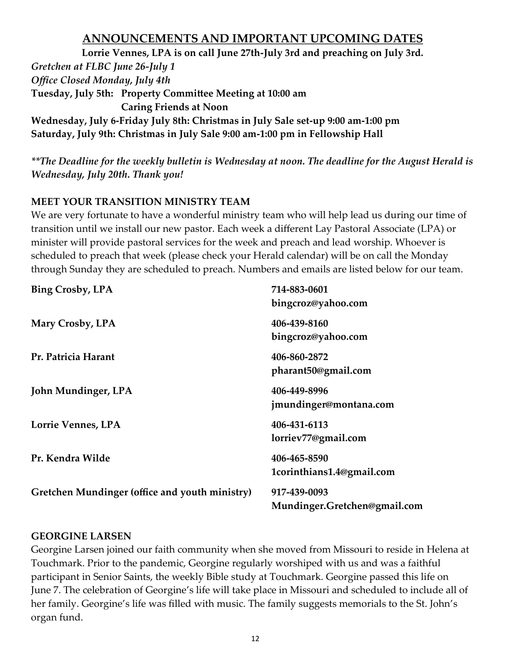# **ANNOUNCEMENTS AND IMPORTANT UPCOMING DATES**

**Lorrie Vennes, LPA is on call June 27th-July 3rd and preaching on July 3rd.**  *Gretchen at FLBC June 26-July 1 Office Closed Monday, July 4th* **Tuesday, July 5th: Property Committee Meeting at 10:00 am Caring Friends at Noon Wednesday, July 6-Friday July 8th: Christmas in July Sale set-up 9:00 am-1:00 pm Saturday, July 9th: Christmas in July Sale 9:00 am-1:00 pm in Fellowship Hall**

*\*\*The Deadline for the weekly bulletin is Wednesday at noon. The deadline for the August Herald is Wednesday, July 20th. Thank you!* 

## **MEET YOUR TRANSITION MINISTRY TEAM**

We are very fortunate to have a wonderful ministry team who will help lead us during our time of transition until we install our new pastor. Each week a different Lay Pastoral Associate (LPA) or minister will provide pastoral services for the week and preach and lead worship. Whoever is scheduled to preach that week (please check your Herald calendar) will be on call the Monday through Sunday they are scheduled to preach. Numbers and emails are listed below for our team.

| <b>Bing Crosby, LPA</b>                        | 714-883-0601                 |  |
|------------------------------------------------|------------------------------|--|
|                                                | bingcroz@yahoo.com           |  |
| Mary Crosby, LPA                               | 406-439-8160                 |  |
|                                                | bingcroz@yahoo.com           |  |
| Pr. Patricia Harant                            | 406-860-2872                 |  |
|                                                | pharant50@gmail.com          |  |
| John Mundinger, LPA                            | 406-449-8996                 |  |
|                                                | jmundinger@montana.com       |  |
| Lorrie Vennes, LPA                             | 406-431-6113                 |  |
|                                                | lorriev77@gmail.com          |  |
| Pr. Kendra Wilde                               | 406-465-8590                 |  |
|                                                | 1corinthians1.4@gmail.com    |  |
| Gretchen Mundinger (office and youth ministry) | 917-439-0093                 |  |
|                                                | Mundinger.Gretchen@gmail.com |  |

#### **GEORGINE LARSEN**

Georgine Larsen joined our faith community when she moved from Missouri to reside in Helena at Touchmark. Prior to the pandemic, Georgine regularly worshiped with us and was a faithful participant in Senior Saints, the weekly Bible study at Touchmark. Georgine passed this life on June 7. The celebration of Georgine's life will take place in Missouri and scheduled to include all of her family. Georgine's life was filled with music. The family suggests memorials to the St. John's organ fund.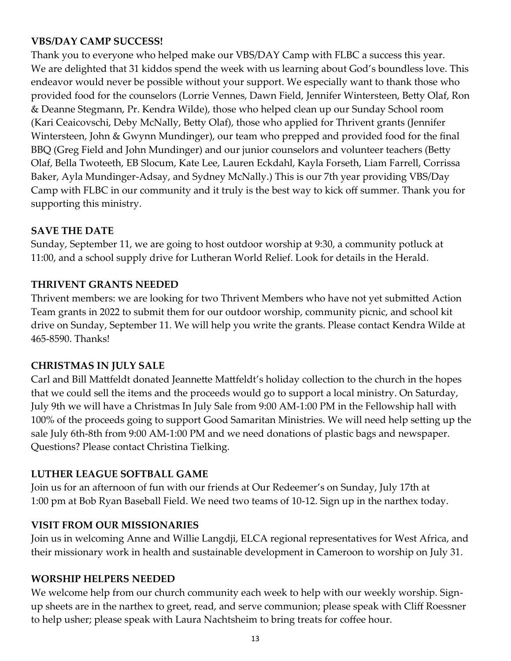## **VBS/DAY CAMP SUCCESS!**

Thank you to everyone who helped make our VBS/DAY Camp with FLBC a success this year. We are delighted that 31 kiddos spend the week with us learning about God's boundless love. This endeavor would never be possible without your support. We especially want to thank those who provided food for the counselors (Lorrie Vennes, Dawn Field, Jennifer Wintersteen, Betty Olaf, Ron & Deanne Stegmann, Pr. Kendra Wilde), those who helped clean up our Sunday School room (Kari Ceaicovschi, Deby McNally, Betty Olaf), those who applied for Thrivent grants (Jennifer Wintersteen, John & Gwynn Mundinger), our team who prepped and provided food for the final BBQ (Greg Field and John Mundinger) and our junior counselors and volunteer teachers (Betty Olaf, Bella Twoteeth, EB Slocum, Kate Lee, Lauren Eckdahl, Kayla Forseth, Liam Farrell, Corrissa Baker, Ayla Mundinger-Adsay, and Sydney McNally.) This is our 7th year providing VBS/Day Camp with FLBC in our community and it truly is the best way to kick off summer. Thank you for supporting this ministry.

## **SAVE THE DATE**

Sunday, September 11, we are going to host outdoor worship at 9:30, a community potluck at 11:00, and a school supply drive for Lutheran World Relief. Look for details in the Herald.

## **THRIVENT GRANTS NEEDED**

Thrivent members: we are looking for two Thrivent Members who have not yet submitted Action Team grants in 2022 to submit them for our outdoor worship, community picnic, and school kit drive on Sunday, September 11. We will help you write the grants. Please contact Kendra Wilde at 465-8590. Thanks!

## **CHRISTMAS IN JULY SALE**

Carl and Bill Mattfeldt donated Jeannette Mattfeldt's holiday collection to the church in the hopes that we could sell the items and the proceeds would go to support a local ministry. On Saturday, July 9th we will have a Christmas In July Sale from 9:00 AM-1:00 PM in the Fellowship hall with 100% of the proceeds going to support Good Samaritan Ministries. We will need help setting up the sale July 6th-8th from 9:00 AM-1:00 PM and we need donations of plastic bags and newspaper. Questions? Please contact Christina Tielking.

# **LUTHER LEAGUE SOFTBALL GAME**

Join us for an afternoon of fun with our friends at Our Redeemer's on Sunday, July 17th at 1:00 pm at Bob Ryan Baseball Field. We need two teams of 10-12. Sign up in the narthex today.

## **VISIT FROM OUR MISSIONARIES**

Join us in welcoming Anne and Willie Langdji, ELCA regional representatives for West Africa, and their missionary work in health and sustainable development in Cameroon to worship on July 31.

## **WORSHIP HELPERS NEEDED**

We welcome help from our church community each week to help with our weekly worship. Signup sheets are in the narthex to greet, read, and serve communion; please speak with Cliff Roessner to help usher; please speak with Laura Nachtsheim to bring treats for coffee hour.